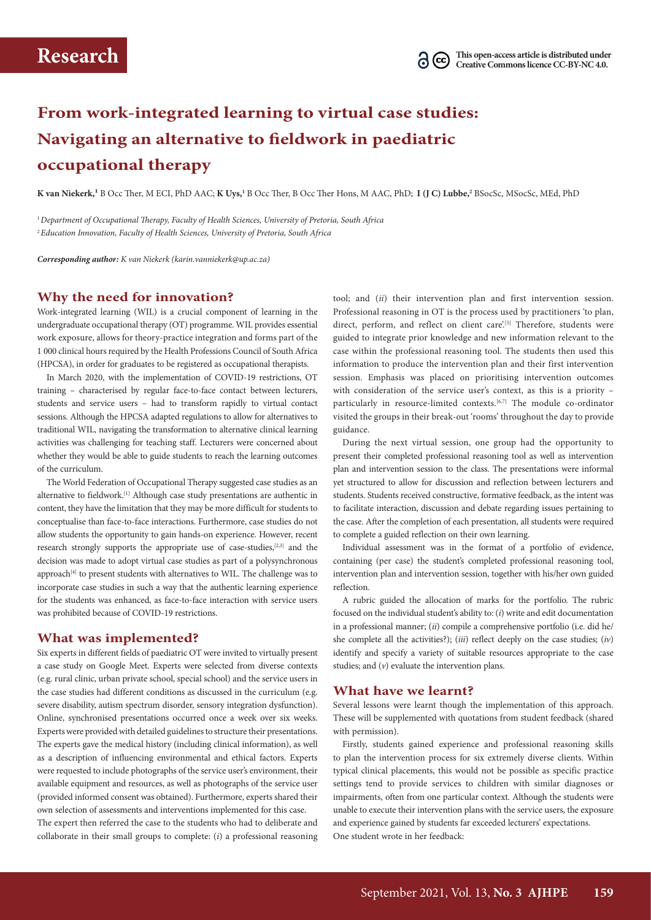# **From work-integrated learning to virtual case studies: Navigating an alternative to fieldwork in paediatric occupational therapy**

K van Niekerk,<sup>1</sup> B Occ Ther, M ECI, PhD AAC; K Uys,<sup>1</sup> B Occ Ther, B Occ Ther Hons, M AAC, PhD; **I (J C) Lubbe**,<sup>2</sup> BSocSc, MSocSc, MEd, PhD

<sup>1</sup>*Department of Occupational Therapy, Faculty of Health Sciences, University of Pretoria, South Africa* <sup>2</sup>*Education Innovation, Faculty of Health Sciences, University of Pretoria, South Africa*

*Corresponding author: K van Niekerk ([karin.vanniekerk@up.ac.za](mailto:karin.vanniekerk@up.ac.za))*

### **Why the need for innovation?**

Work-integrated learning (WIL) is a crucial component of learning in the undergraduate occupational therapy (OT) programme. WIL provides essential work exposure, allows for theory-practice integration and forms part of the 1 000 clinical hours required by the Health Professions Council of South Africa (HPCSA), in order for graduates to be registered as occupational therapists.

In March 2020, with the implementation of COVID-19 restrictions, OT training – characterised by regular face-to-face contact between lecturers, students and service users – had to transform rapidly to virtual contact sessions. Although the HPCSA adapted regulations to allow for alternatives to traditional WIL, navigating the transformation to alternative clinical learning activities was challenging for teaching staff. Lecturers were concerned about whether they would be able to guide students to reach the learning outcomes of the curriculum.

The World Federation of Occupational Therapy suggested case studies as an alternative to fieldwork.[1] Although case study presentations are authentic in content, they have the limitation that they may be more difficult for students to conceptualise than face-to-face interactions. Furthermore, case studies do not allow students the opportunity to gain hands-on experience. However, recent research strongly supports the appropriate use of case-studies,<sup>[2,3]</sup> and the decision was made to adopt virtual case studies as part of a polysynchronous approach<sup>[4]</sup> to present students with alternatives to WIL. The challenge was to incorporate case studies in such a way that the authentic learning experience for the students was enhanced, as face-to-face interaction with service users was prohibited because of COVID-19 restrictions.

#### **What was implemented?**

Six experts in different fields of paediatric OT were invited to virtually present a case study on Google Meet. Experts were selected from diverse contexts (e.g. rural clinic, urban private school, special school) and the service users in the case studies had different conditions as discussed in the curriculum (e.g. severe disability, autism spectrum disorder, sensory integration dysfunction). Online, synchronised presentations occurred once a week over six weeks. Experts were provided with detailed guidelines to structure their presentations. The experts gave the medical history (including clinical information), as well as a description of influencing environmental and ethical factors. Experts were requested to include photographs of the service user's environment, their available equipment and resources, as well as photographs of the service user (provided informed consent was obtained). Furthermore, experts shared their own selection of assessments and interventions implemented for this case.

The expert then referred the case to the students who had to deliberate and collaborate in their small groups to complete: (*i*) a professional reasoning tool; and (*ii*) their intervention plan and first intervention session. Professional reasoning in OT is the process used by practitioners 'to plan, direct, perform, and reflect on client care.<sup>[5]</sup> Therefore, students were guided to integrate prior knowledge and new information relevant to the case within the professional reasoning tool. The students then used this information to produce the intervention plan and their first intervention session. Emphasis was placed on prioritising intervention outcomes with consideration of the service user's context, as this is a priority – particularly in resource-limited contexts.<sup>[6,7]</sup> The module co-ordinator visited the groups in their break-out 'rooms' throughout the day to provide guidance.

During the next virtual session, one group had the opportunity to present their completed professional reasoning tool as well as intervention plan and intervention session to the class. The presentations were informal yet structured to allow for discussion and reflection between lecturers and students. Students received constructive, formative feedback, as the intent was to facilitate interaction, discussion and debate regarding issues pertaining to the case. After the completion of each presentation, all students were required to complete a guided reflection on their own learning.

Individual assessment was in the format of a portfolio of evidence, containing (per case) the student's completed professional reasoning tool, intervention plan and intervention session, together with his/her own guided reflection.

A rubric guided the allocation of marks for the portfolio. The rubric focused on the individual student's ability to: (*i*) write and edit documentation in a professional manner; (*ii*) compile a comprehensive portfolio (i.e. did he/ she complete all the activities?); (*iii*) reflect deeply on the case studies; (*iv*) identify and specify a variety of suitable resources appropriate to the case studies; and (*v*) evaluate the intervention plans.

#### **What have we learnt?**

Several lessons were learnt though the implementation of this approach. These will be supplemented with quotations from student feedback (shared with permission).

Firstly, students gained experience and professional reasoning skills to plan the intervention process for six extremely diverse clients. Within typical clinical placements, this would not be possible as specific practice settings tend to provide services to children with similar diagnoses or impairments, often from one particular context. Although the students were unable to execute their intervention plans with the service users, the exposure and experience gained by students far exceeded lecturers' expectations. One student wrote in her feedback: